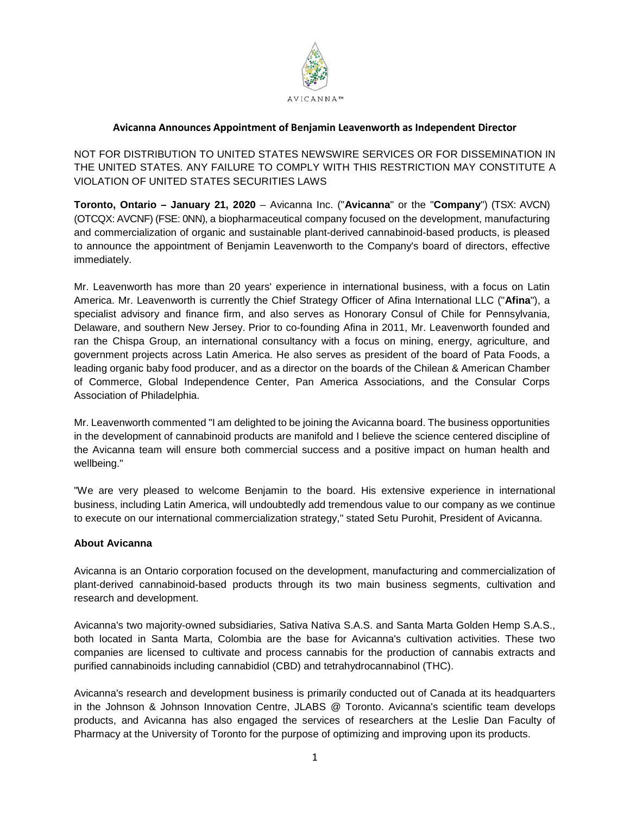

## **Avicanna Announces Appointment of Benjamin Leavenworth as Independent Director**

NOT FOR DISTRIBUTION TO UNITED STATES NEWSWIRE SERVICES OR FOR DISSEMINATION IN THE UNITED STATES. ANY FAILURE TO COMPLY WITH THIS RESTRICTION MAY CONSTITUTE A VIOLATION OF UNITED STATES SECURITIES LAWS

**Toronto, Ontario – January 21, 2020** – Avicanna Inc. ("**Avicanna**" or the "**Company**") (TSX: AVCN) (OTCQX: AVCNF) (FSE: 0NN), a biopharmaceutical company focused on the development, manufacturing and commercialization of organic and sustainable plant-derived cannabinoid-based products, is pleased to announce the appointment of Benjamin Leavenworth to the Company's board of directors, effective immediately.

Mr. Leavenworth has more than 20 years' experience in international business, with a focus on Latin America. Mr. Leavenworth is currently the Chief Strategy Officer of Afina International LLC ("**Afina**"), a specialist advisory and finance firm, and also serves as Honorary Consul of Chile for Pennsylvania, Delaware, and southern New Jersey. Prior to co-founding Afina in 2011, Mr. Leavenworth founded and ran the Chispa Group, an international consultancy with a focus on mining, energy, agriculture, and government projects across Latin America. He also serves as president of the board of Pata Foods, a leading organic baby food producer, and as a director on the boards of the Chilean & American Chamber of Commerce, Global Independence Center, Pan America Associations, and the Consular Corps Association of Philadelphia.

Mr. Leavenworth commented "I am delighted to be joining the Avicanna board. The business opportunities in the development of cannabinoid products are manifold and I believe the science centered discipline of the Avicanna team will ensure both commercial success and a positive impact on human health and wellbeing."

"We are very pleased to welcome Benjamin to the board. His extensive experience in international business, including Latin America, will undoubtedly add tremendous value to our company as we continue to execute on our international commercialization strategy," stated Setu Purohit, President of Avicanna.

## **About Avicanna**

Avicanna is an Ontario corporation focused on the development, manufacturing and commercialization of plant-derived cannabinoid-based products through its two main business segments, cultivation and research and development.

Avicanna's two majority-owned subsidiaries, Sativa Nativa S.A.S. and Santa Marta Golden Hemp S.A.S., both located in Santa Marta, Colombia are the base for Avicanna's cultivation activities. These two companies are licensed to cultivate and process cannabis for the production of cannabis extracts and purified cannabinoids including cannabidiol (CBD) and tetrahydrocannabinol (THC).

Avicanna's research and development business is primarily conducted out of Canada at its headquarters in the Johnson & Johnson Innovation Centre, JLABS @ Toronto. Avicanna's scientific team develops products, and Avicanna has also engaged the services of researchers at the Leslie Dan Faculty of Pharmacy at the University of Toronto for the purpose of optimizing and improving upon its products.